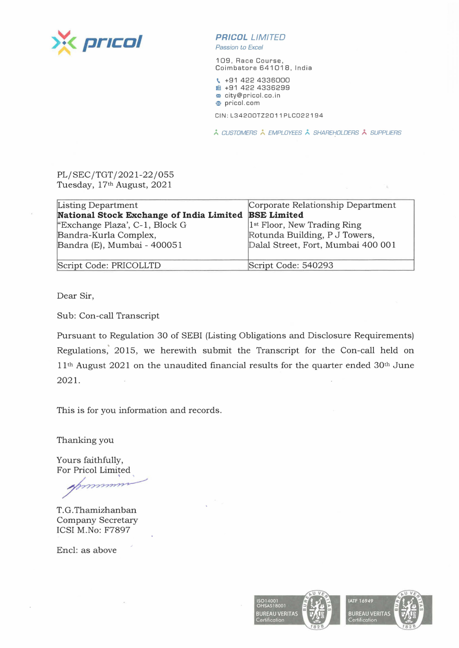

**PR/COL** LIMITED

Passion to Excel

109, Race Course, Coimbatore 641018, India

\ +91 422 4336000 **'1** +91 422 4336299 <sup>~</sup>city@pricol.co.in **,e** pricol. com

CIN:L34200TZ2011PLC022194

\* CUSTOMERS \* EMPLOYEES \* SHAREHOLDERS \* SUPPLIERS

## PL/SEC/TGT/2021-22/055 Tuesday, 17th August, 2021

| Listing Department                       | Corporate Relationship Department       |
|------------------------------------------|-----------------------------------------|
| National Stock Exchange of India Limited | <b>BSE Limited</b>                      |
| "Exchange Plaza', C-1, Block G           | 1 <sup>st</sup> Floor, New Trading Ring |
| Bandra-Kurla Complex,                    | Rotunda Building, P J Towers,           |
| Bandra (E), Mumbai - 400051              | Dalal Street, Fort, Mumbai 400 001      |
|                                          |                                         |
| Script Code: PRICOLLTD                   | Script Code: 540293                     |

Dear Sir,

Sub: Con-call Transcript

Pursuant to Regulation 30 of SEBI (Listing Obligations and Disclosure Requirements) Regulations," 2015, we herewith submit the Transcript for the Con-call held on 11<sup>th</sup> August 2021 on the unaudited financial results for the quarter ended 30<sup>th</sup> June 2021.

This is for you information and records.

Thanking you

Yours faithfully, For Pricol Limited

hanking you<br>
ours faithfully,<br>
or Pricol Limited<br>
Ammir

T. G. Thamizhanban Company Secretary ICSI M.No: F7897

Encl: as above

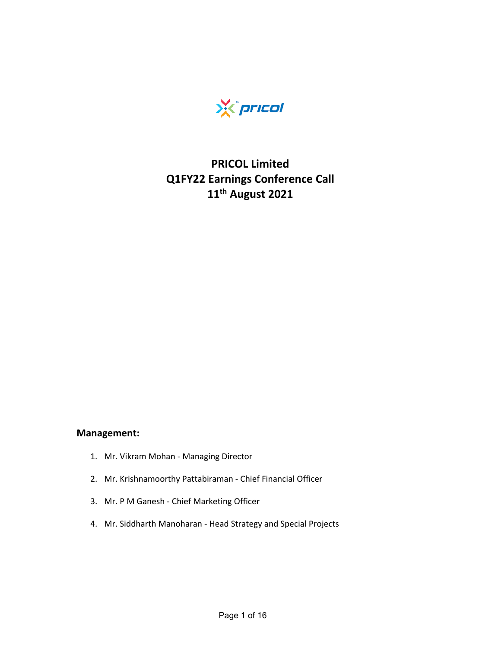

## **PRICOL Limited Q1FY22 Earnings Conference Call 11th August 2021**

## **Management:**

- 1. Mr. Vikram Mohan ‐ Managing Director
- 2. Mr. Krishnamoorthy Pattabiraman ‐ Chief Financial Officer
- 3. Mr. P M Ganesh ‐ Chief Marketing Officer
- 4. Mr. Siddharth Manoharan ‐ Head Strategy and Special Projects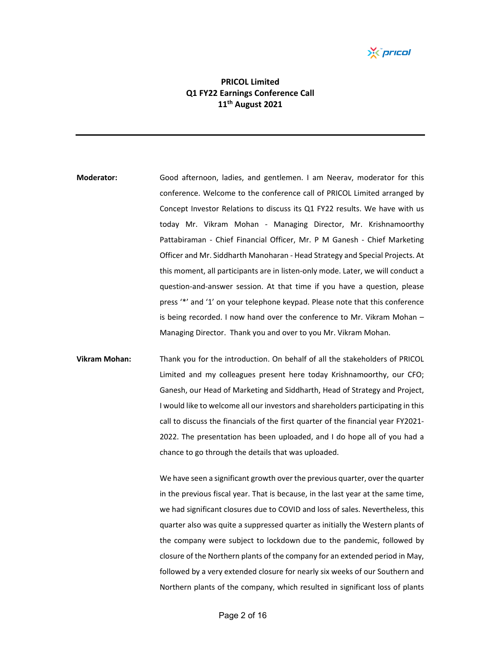*Yis pricol* 

## **PRICOL Limited Q1 FY22 Earnings Conference Call 11th August 2021**

- **Moderator:** Good afternoon, ladies, and gentlemen. I am Neerav, moderator for this conference. Welcome to the conference call of PRICOL Limited arranged by Concept Investor Relations to discuss its Q1 FY22 results. We have with us today Mr. Vikram Mohan - Managing Director, Mr. Krishnamoorthy Pattabiraman - Chief Financial Officer, Mr. P M Ganesh - Chief Marketing Officer and Mr. Siddharth Manoharan ‐ Head Strategy and Special Projects. At this moment, all participants are in listen‐only mode. Later, we will conduct a question‐and‐answer session. At that time if you have a question, please press '\*' and '1' on your telephone keypad. Please note that this conference is being recorded. I now hand over the conference to Mr. Vikram Mohan – Managing Director. Thank you and over to you Mr. Vikram Mohan.
- **Vikram Mohan:** Thank you for the introduction. On behalf of all the stakeholders of PRICOL Limited and my colleagues present here today Krishnamoorthy, our CFO; Ganesh, our Head of Marketing and Siddharth, Head of Strategy and Project, I would like to welcome all our investors and shareholders participating in this call to discuss the financials of the first quarter of the financial year FY2021‐ 2022. The presentation has been uploaded, and I do hope all of you had a chance to go through the details that was uploaded.

We have seen a significant growth over the previous quarter, over the quarter in the previous fiscal year. That is because, in the last year at the same time, we had significant closures due to COVID and loss of sales. Nevertheless, this quarter also was quite a suppressed quarter as initially the Western plants of the company were subject to lockdown due to the pandemic, followed by closure of the Northern plants of the company for an extended period in May, followed by a very extended closure for nearly six weeks of our Southern and Northern plants of the company, which resulted in significant loss of plants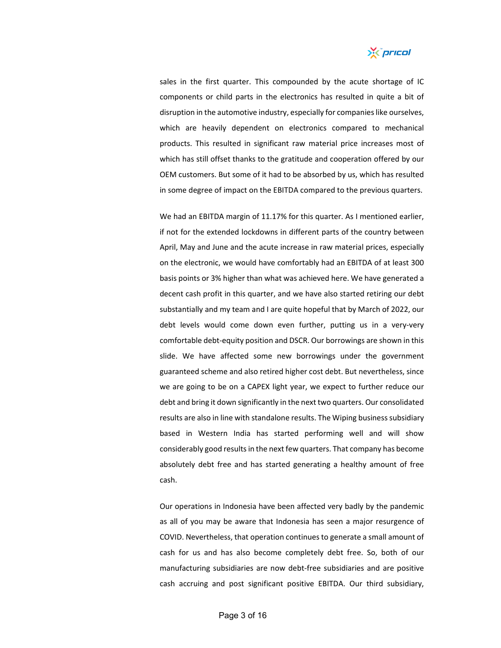

sales in the first quarter. This compounded by the acute shortage of IC components or child parts in the electronics has resulted in quite a bit of disruption in the automotive industry, especially for companies like ourselves, which are heavily dependent on electronics compared to mechanical products. This resulted in significant raw material price increases most of which has still offset thanks to the gratitude and cooperation offered by our OEM customers. But some of it had to be absorbed by us, which has resulted in some degree of impact on the EBITDA compared to the previous quarters.

We had an EBITDA margin of 11.17% for this quarter. As I mentioned earlier, if not for the extended lockdowns in different parts of the country between April, May and June and the acute increase in raw material prices, especially on the electronic, we would have comfortably had an EBITDA of at least 300 basis points or 3% higher than what was achieved here. We have generated a decent cash profit in this quarter, and we have also started retiring our debt substantially and my team and I are quite hopeful that by March of 2022, our debt levels would come down even further, putting us in a very‐very comfortable debt‐equity position and DSCR. Our borrowings are shown in this slide. We have affected some new borrowings under the government guaranteed scheme and also retired higher cost debt. But nevertheless, since we are going to be on a CAPEX light year, we expect to further reduce our debt and bring it down significantly in the next two quarters. Our consolidated results are also in line with standalone results. The Wiping business subsidiary based in Western India has started performing well and will show considerably good resultsin the next few quarters. That company has become absolutely debt free and has started generating a healthy amount of free cash.

Our operations in Indonesia have been affected very badly by the pandemic as all of you may be aware that Indonesia has seen a major resurgence of COVID. Nevertheless, that operation continues to generate a small amount of cash for us and has also become completely debt free. So, both of our manufacturing subsidiaries are now debt‐free subsidiaries and are positive cash accruing and post significant positive EBITDA. Our third subsidiary,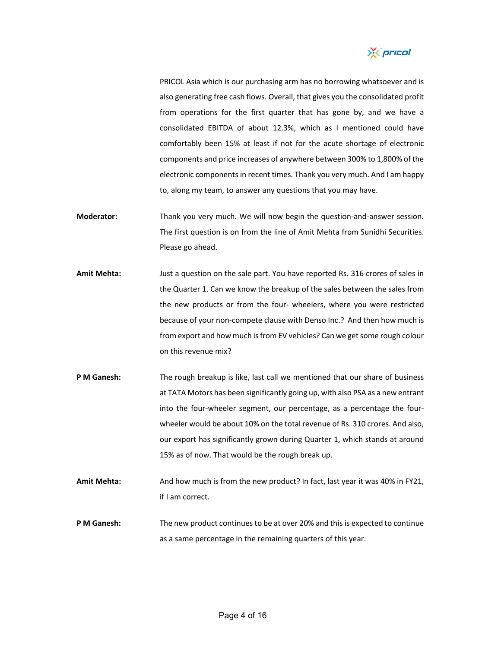

PRICOL Asia which is our purchasing arm has no borrowing whatsoever and is also generating free cash flows. Overall, that gives you the consolidated profit from operations for the first quarter that has gone by, and we have a consolidated EBITDA of about 12.3%, which as I mentioned could have comfortably been 15% at least if not for the acute shortage of electronic components and price increases of anywhere between 300% to 1,800% of the electronic components in recent times. Thank you very much. And I am happy to, along my team, to answer any questions that you may have.

- Moderator: Thank you very much. We will now begin the question-and-answer session. The first question is on from the line of Amit Mehta from Sunidhi Securities. Please go ahead.
- **Amit Mehta:** Just a question on the sale part. You have reported Rs. 316 crores of sales in the Quarter 1. Can we know the breakup of the sales between the sales from the new products or from the four‐ wheelers, where you were restricted because of your non-compete clause with Denso Inc.? And then how much is from export and how much is from EV vehicles? Can we get some rough colour on this revenue mix?
- **P M Ganesh:** The rough breakup is like, last call we mentioned that our share of business at TATA Motors has been significantly going up, with also PSA as a new entrant into the four-wheeler segment, our percentage, as a percentage the fourwheeler would be about 10% on the total revenue of Rs. 310 crores. And also, our export has significantly grown during Quarter 1, which stands at around 15% as of now. That would be the rough break up.
- **Amit Mehta:** And how much is from the new product? In fact, last year it was 40% in FY21, if I am correct.
- **P M Ganesh:** The new product continues to be at over 20% and this is expected to continue as a same percentage in the remaining quarters of this year.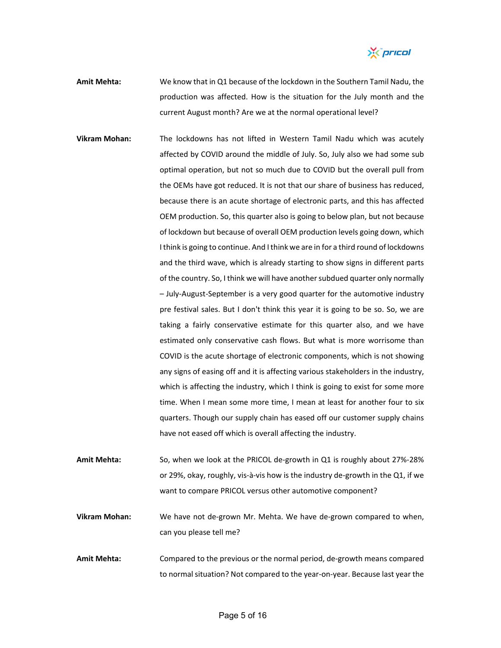X pricol

- **Amit Mehta:** We know that in Q1 because of the lockdown in the Southern Tamil Nadu, the production was affected. How is the situation for the July month and the current August month? Are we at the normal operational level?
- **Vikram Mohan:** The lockdowns has not lifted in Western Tamil Nadu which was acutely affected by COVID around the middle of July. So, July also we had some sub optimal operation, but not so much due to COVID but the overall pull from the OEMs have got reduced. It is not that our share of business has reduced, because there is an acute shortage of electronic parts, and this has affected OEM production. So, this quarter also is going to below plan, but not because of lockdown but because of overall OEM production levels going down, which Ithink is going to continue. And Ithink we are in for a third round of lockdowns and the third wave, which is already starting to show signs in different parts of the country. So, I think we will have another subdued quarter only normally – July‐August‐September is a very good quarter for the automotive industry pre festival sales. But I don't think this year it is going to be so. So, we are taking a fairly conservative estimate for this quarter also, and we have estimated only conservative cash flows. But what is more worrisome than COVID is the acute shortage of electronic components, which is not showing any signs of easing off and it is affecting various stakeholders in the industry, which is affecting the industry, which I think is going to exist for some more time. When I mean some more time, I mean at least for another four to six quarters. Though our supply chain has eased off our customer supply chains have not eased off which is overall affecting the industry.
- **Amit Mehta:** So, when we look at the PRICOL de‐growth in Q1 is roughly about 27%‐28% or 29%, okay, roughly, vis‐à‐vis how is the industry de‐growth in the Q1, if we want to compare PRICOL versus other automotive component?
- **Vikram Mohan:** We have not de‐grown Mr. Mehta. We have de‐grown compared to when, can you please tell me?
- **Amit Mehta:** Compared to the previous or the normal period, de‐growth means compared to normal situation? Not compared to the year‐on‐year. Because last year the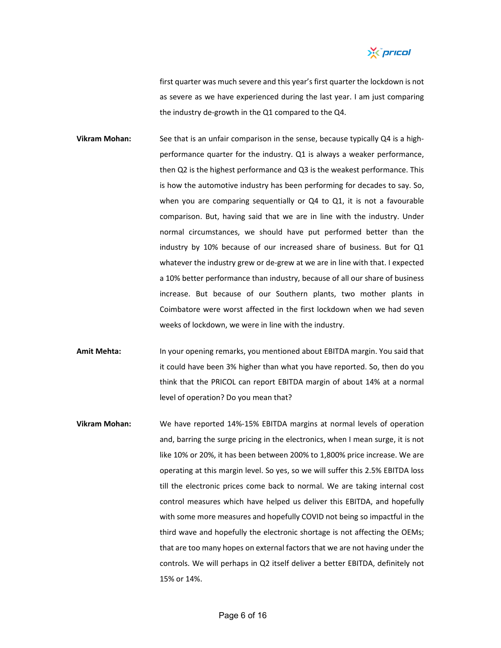

first quarter was much severe and this year's first quarter the lockdown is not as severe as we have experienced during the last year. I am just comparing the industry de‐growth in the Q1 compared to the Q4.

- **Vikram Mohan:** See that is an unfair comparison in the sense, because typically Q4 is a high‐ performance quarter for the industry. Q1 is always a weaker performance, then Q2 is the highest performance and Q3 is the weakest performance. This is how the automotive industry has been performing for decades to say. So, when you are comparing sequentially or Q4 to Q1, it is not a favourable comparison. But, having said that we are in line with the industry. Under normal circumstances, we should have put performed better than the industry by 10% because of our increased share of business. But for Q1 whatever the industry grew or de-grew at we are in line with that. I expected a 10% better performance than industry, because of all our share of business increase. But because of our Southern plants, two mother plants in Coimbatore were worst affected in the first lockdown when we had seven weeks of lockdown, we were in line with the industry.
- **Amit Mehta:** In your opening remarks, you mentioned about EBITDA margin. You said that it could have been 3% higher than what you have reported. So, then do you think that the PRICOL can report EBITDA margin of about 14% at a normal level of operation? Do you mean that?
- **Vikram Mohan:** We have reported 14%‐15% EBITDA margins at normal levels of operation and, barring the surge pricing in the electronics, when I mean surge, it is not like 10% or 20%, it has been between 200% to 1,800% price increase. We are operating at this margin level. So yes, so we will suffer this 2.5% EBITDA loss till the electronic prices come back to normal. We are taking internal cost control measures which have helped us deliver this EBITDA, and hopefully with some more measures and hopefully COVID not being so impactful in the third wave and hopefully the electronic shortage is not affecting the OEMs; that are too many hopes on external factors that we are not having under the controls. We will perhaps in Q2 itself deliver a better EBITDA, definitely not 15% or 14%.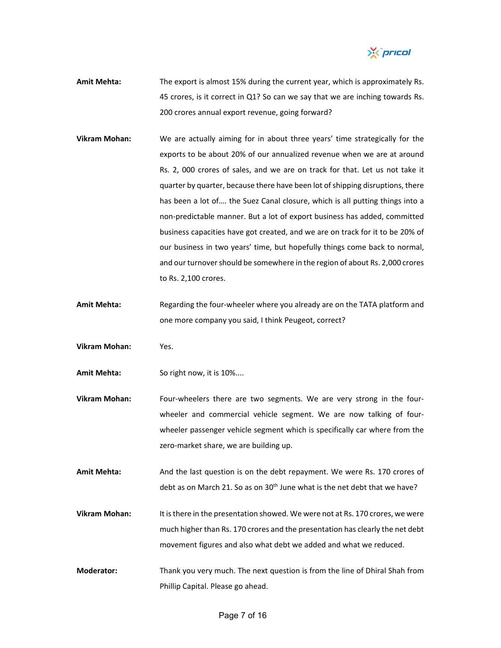

- **Amit Mehta:** The export is almost 15% during the current year, which is approximately Rs. 45 crores, is it correct in Q1? So can we say that we are inching towards Rs. 200 crores annual export revenue, going forward?
- **Vikram Mohan:** We are actually aiming for in about three years' time strategically for the exports to be about 20% of our annualized revenue when we are at around Rs. 2, 000 crores of sales, and we are on track for that. Let us not take it quarter by quarter, because there have been lot of shipping disruptions, there has been a lot of…. the Suez Canal closure, which is all putting things into a non‐predictable manner. But a lot of export business has added, committed business capacities have got created, and we are on track for it to be 20% of our business in two years' time, but hopefully things come back to normal, and our turnover should be somewhere in the region of about Rs. 2,000 crores to Rs. 2,100 crores.
- Amit Mehta: Regarding the four-wheeler where you already are on the TATA platform and one more company you said, I think Peugeot, correct?
- **Vikram Mohan:** Yes.
- **Amit Mehta:** So right now, it is 10%....
- **Vikram Mohan:** Four‐wheelers there are two segments. We are very strong in the four‐ wheeler and commercial vehicle segment. We are now talking of fourwheeler passenger vehicle segment which is specifically car where from the zero-market share, we are building up.
- **Amit Mehta:** And the last question is on the debt repayment. We were Rs. 170 crores of debt as on March 21. So as on 30<sup>th</sup> June what is the net debt that we have?
- **Vikram Mohan:** It isthere in the presentation showed. We were not at Rs. 170 crores, we were much higher than Rs. 170 crores and the presentation has clearly the net debt movement figures and also what debt we added and what we reduced.
- **Moderator:** Thank you very much. The next question is from the line of Dhiral Shah from Phillip Capital. Please go ahead.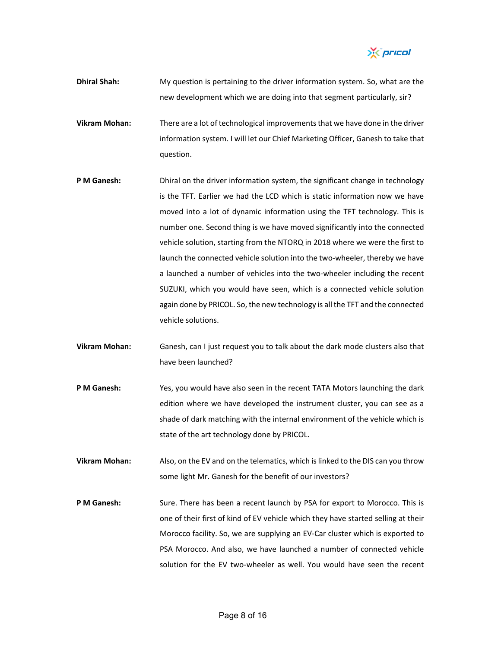X pricol

- **Dhiral Shah:** My question is pertaining to the driver information system. So, what are the new development which we are doing into that segment particularly, sir?
- **Vikram Mohan:** There are a lot of technological improvementsthat we have done in the driver information system. I will let our Chief Marketing Officer, Ganesh to take that question.
- **P M Ganesh:** Dhiral on the driver information system, the significant change in technology is the TFT. Earlier we had the LCD which is static information now we have moved into a lot of dynamic information using the TFT technology. This is number one. Second thing is we have moved significantly into the connected vehicle solution, starting from the NTORQ in 2018 where we were the first to launch the connected vehicle solution into the two-wheeler, thereby we have a launched a number of vehicles into the two-wheeler including the recent SUZUKI, which you would have seen, which is a connected vehicle solution again done by PRICOL. So, the new technology is all the TFT and the connected vehicle solutions.
- **Vikram Mohan:** Ganesh, can I just request you to talk about the dark mode clusters also that have been launched?
- **P M Ganesh:** Yes, you would have also seen in the recent TATA Motors launching the dark edition where we have developed the instrument cluster, you can see as a shade of dark matching with the internal environment of the vehicle which is state of the art technology done by PRICOL.
- **Vikram Mohan:** Also, on the EV and on the telematics, which islinked to the DIS can you throw some light Mr. Ganesh for the benefit of our investors?
- **P M Ganesh:** Sure. There has been a recent launch by PSA for export to Morocco. This is one of their first of kind of EV vehicle which they have started selling at their Morocco facility. So, we are supplying an EV‐Car cluster which is exported to PSA Morocco. And also, we have launched a number of connected vehicle solution for the EV two-wheeler as well. You would have seen the recent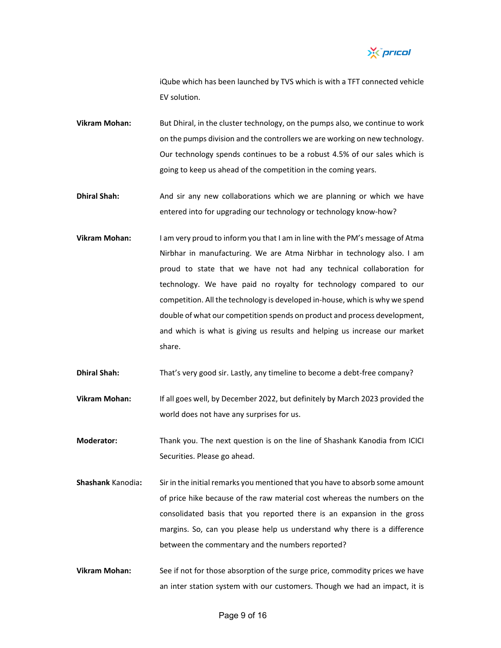

iQube which has been launched by TVS which is with a TFT connected vehicle EV solution.

**Vikram Mohan:** But Dhiral, in the cluster technology, on the pumps also, we continue to work on the pumps division and the controllers we are working on new technology. Our technology spends continues to be a robust 4.5% of our sales which is going to keep us ahead of the competition in the coming years.

**Dhiral Shah:** And sir any new collaborations which we are planning or which we have entered into for upgrading our technology or technology know‐how?

**Vikram Mohan:** I am very proud to inform you that I am in line with the PM's message of Atma Nirbhar in manufacturing. We are Atma Nirbhar in technology also. I am proud to state that we have not had any technical collaboration for technology. We have paid no royalty for technology compared to our competition. All the technology is developed in‐house, which is why we spend double of what our competition spends on product and process development, and which is what is giving us results and helping us increase our market share.

**Dhiral Shah:** That's very good sir. Lastly, any timeline to become a debt-free company?

**Vikram Mohan:** If all goes well, by December 2022, but definitely by March 2023 provided the world does not have any surprises for us.

**Moderator:** Thank you. The next question is on the line of Shashank Kanodia from ICICI Securities. Please go ahead.

- **Shashank** Kanodia**:** Sir in the initial remarks you mentioned that you have to absorb some amount of price hike because of the raw material cost whereas the numbers on the consolidated basis that you reported there is an expansion in the gross margins. So, can you please help us understand why there is a difference between the commentary and the numbers reported?
- **Vikram Mohan:** See if not for those absorption of the surge price, commodity prices we have an inter station system with our customers. Though we had an impact, it is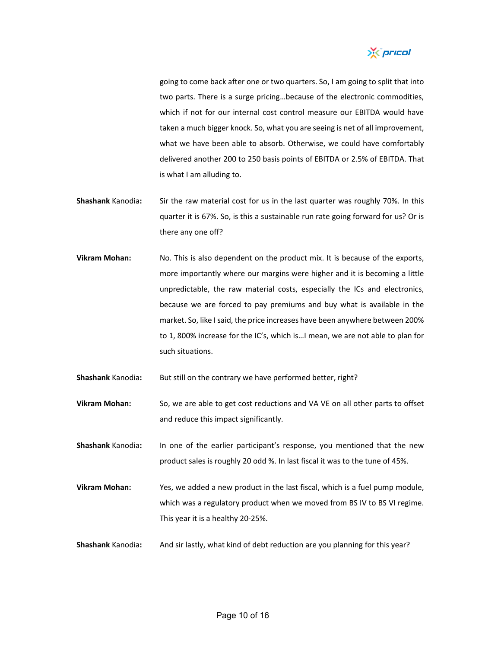

going to come back after one or two quarters. So, I am going to split that into two parts. There is a surge pricing…because of the electronic commodities, which if not for our internal cost control measure our EBITDA would have taken a much bigger knock. So, what you are seeing is net of all improvement, what we have been able to absorb. Otherwise, we could have comfortably delivered another 200 to 250 basis points of EBITDA or 2.5% of EBITDA. That is what I am alluding to.

- **Shashank** Kanodia**:** Sir the raw material cost for us in the last quarter was roughly 70%. In this quarter it is 67%. So, is this a sustainable run rate going forward for us? Or is there any one off?
- **Vikram Mohan:** No. This is also dependent on the product mix. It is because of the exports, more importantly where our margins were higher and it is becoming a little unpredictable, the raw material costs, especially the ICs and electronics, because we are forced to pay premiums and buy what is available in the market. So, like I said, the price increases have been anywhere between 200% to 1, 800% increase for the IC's, which is…I mean, we are not able to plan for such situations.

**Shashank** Kanodia: But still on the contrary we have performed better, right?

**Vikram Mohan:** So, we are able to get cost reductions and VA VE on all other parts to offset and reduce this impact significantly.

**Shashank** Kanodia**:** In one of the earlier participant's response, you mentioned that the new product sales is roughly 20 odd %. In last fiscal it was to the tune of 45%.

**Vikram Mohan:** Yes, we added a new product in the last fiscal, which is a fuel pump module, which was a regulatory product when we moved from BS IV to BS VI regime. This year it is a healthy 20‐25%.

**Shashank** Kanodia**:** And sir lastly, what kind of debt reduction are you planning for this year?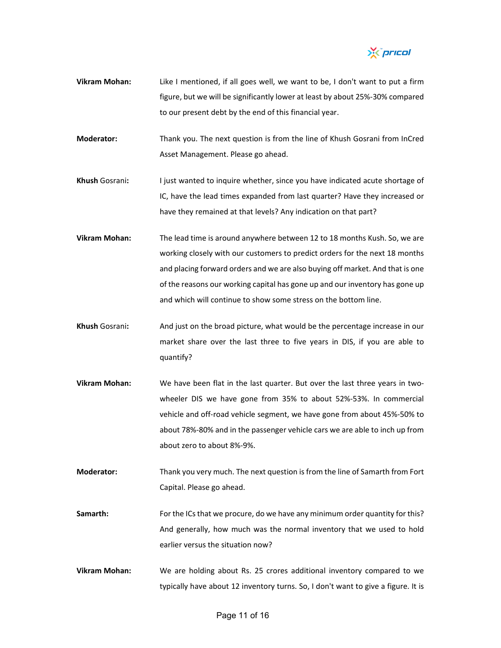

- **Vikram Mohan:** Like I mentioned, if all goes well, we want to be, I don't want to put a firm figure, but we will be significantly lower at least by about 25%‐30% compared to our present debt by the end of this financial year.
- **Moderator:** Thank you. The next question is from the line of Khush Gosrani from InCred Asset Management. Please go ahead.
- **Khush** Gosrani**:** I just wanted to inquire whether, since you have indicated acute shortage of IC, have the lead times expanded from last quarter? Have they increased or have they remained at that levels? Any indication on that part?
- **Vikram Mohan:** The lead time is around anywhere between 12 to 18 months Kush. So, we are working closely with our customers to predict orders for the next 18 months and placing forward orders and we are also buying off market. And that is one of the reasons our working capital has gone up and our inventory has gone up and which will continue to show some stress on the bottom line.
- **Khush** Gosrani**:** And just on the broad picture, what would be the percentage increase in our market share over the last three to five years in DIS, if you are able to quantify?
- **Vikram Mohan:** We have been flat in the last quarter. But over the last three years in two‐ wheeler DIS we have gone from 35% to about 52%‐53%. In commercial vehicle and off‐road vehicle segment, we have gone from about 45%‐50% to about 78%‐80% and in the passenger vehicle cars we are able to inch up from about zero to about 8%‐9%.
- **Moderator:** Thank you very much. The next question is from the line of Samarth from Fort Capital. Please go ahead.
- Samarth: For the ICs that we procure, do we have any minimum order quantity for this? And generally, how much was the normal inventory that we used to hold earlier versus the situation now?
- **Vikram Mohan:** We are holding about Rs. 25 crores additional inventory compared to we typically have about 12 inventory turns. So, I don't want to give a figure. It is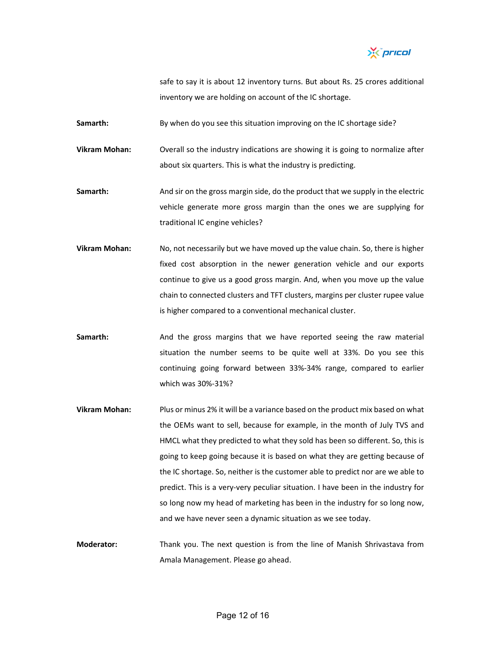*Yis pricol* 

safe to say it is about 12 inventory turns. But about Rs. 25 crores additional inventory we are holding on account of the IC shortage.

**Samarth:** By when do you see this situation improving on the IC shortage side?

**Vikram Mohan:** Overall so the industry indications are showing it is going to normalize after about six quarters. This is what the industry is predicting.

**Samarth:** And sir on the gross margin side, do the product that we supply in the electric vehicle generate more gross margin than the ones we are supplying for traditional IC engine vehicles?

- **Vikram Mohan:** No, not necessarily but we have moved up the value chain. So, there is higher fixed cost absorption in the newer generation vehicle and our exports continue to give us a good gross margin. And, when you move up the value chain to connected clusters and TFT clusters, margins per cluster rupee value is higher compared to a conventional mechanical cluster.
- **Samarth:** And the gross margins that we have reported seeing the raw material situation the number seems to be quite well at 33%. Do you see this continuing going forward between 33%‐34% range, compared to earlier which was 30%‐31%?
- **Vikram Mohan:** Plus or minus 2% it will be a variance based on the product mix based on what the OEMs want to sell, because for example, in the month of July TVS and HMCL what they predicted to what they sold has been so different. So, this is going to keep going because it is based on what they are getting because of the IC shortage. So, neither is the customer able to predict nor are we able to predict. This is a very-very peculiar situation. I have been in the industry for so long now my head of marketing has been in the industry for so long now, and we have never seen a dynamic situation as we see today.
- **Moderator:** Thank you. The next question is from the line of Manish Shrivastava from Amala Management. Please go ahead.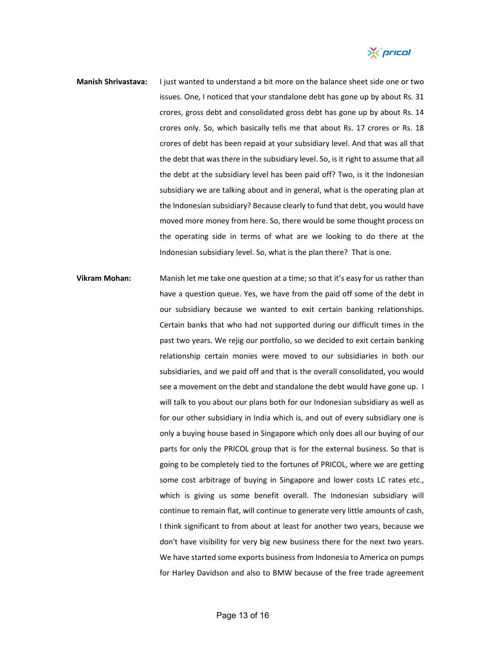

- **Manish Shrivastava:** I just wanted to understand a bit more on the balance sheet side one or two issues. One, I noticed that your standalone debt has gone up by about Rs. 31 crores, gross debt and consolidated gross debt has gone up by about Rs. 14 crores only. So, which basically tells me that about Rs. 17 crores or Rs. 18 crores of debt has been repaid at your subsidiary level. And that was all that the debt that wasthere in the subsidiary level. So, is it right to assume that all the debt at the subsidiary level has been paid off? Two, is it the Indonesian subsidiary we are talking about and in general, what is the operating plan at the Indonesian subsidiary? Because clearly to fund that debt, you would have moved more money from here. So, there would be some thought process on the operating side in terms of what are we looking to do there at the Indonesian subsidiary level. So, what is the plan there? That is one.
- **Vikram Mohan:** Manish let me take one question at a time; so that it's easy for us rather than have a question queue. Yes, we have from the paid off some of the debt in our subsidiary because we wanted to exit certain banking relationships. Certain banks that who had not supported during our difficult times in the past two years. We rejig our portfolio, so we decided to exit certain banking relationship certain monies were moved to our subsidiaries in both our subsidiaries, and we paid off and that is the overall consolidated, you would see a movement on the debt and standalone the debt would have gone up. I will talk to you about our plans both for our Indonesian subsidiary as well as for our other subsidiary in India which is, and out of every subsidiary one is only a buying house based in Singapore which only does all our buying of our parts for only the PRICOL group that is for the external business. So that is going to be completely tied to the fortunes of PRICOL, where we are getting some cost arbitrage of buying in Singapore and lower costs LC rates etc., which is giving us some benefit overall. The Indonesian subsidiary will continue to remain flat, will continue to generate very little amounts of cash, I think significant to from about at least for another two years, because we don't have visibility for very big new business there for the next two years. We have started some exports business from Indonesia to America on pumps for Harley Davidson and also to BMW because of the free trade agreement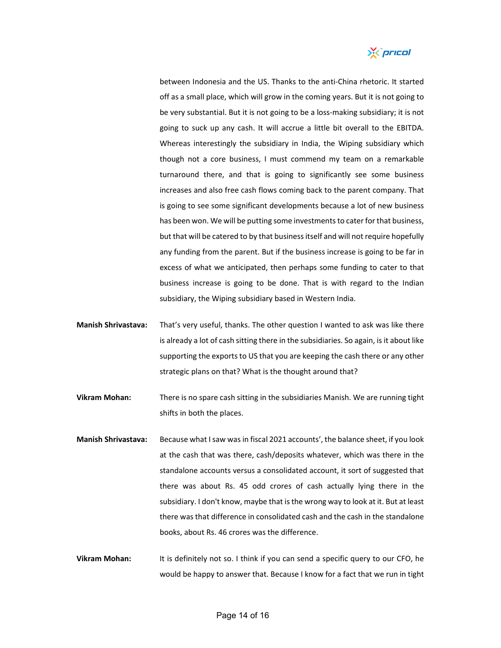

between Indonesia and the US. Thanks to the anti‐China rhetoric. It started off as a small place, which will grow in the coming years. But it is not going to be very substantial. But it is not going to be a loss-making subsidiary; it is not going to suck up any cash. It will accrue a little bit overall to the EBITDA. Whereas interestingly the subsidiary in India, the Wiping subsidiary which though not a core business, I must commend my team on a remarkable turnaround there, and that is going to significantly see some business increases and also free cash flows coming back to the parent company. That is going to see some significant developments because a lot of new business has been won. We will be putting some investments to cater for that business, but that will be catered to by that businessitself and will not require hopefully any funding from the parent. But if the business increase is going to be far in excess of what we anticipated, then perhaps some funding to cater to that business increase is going to be done. That is with regard to the Indian subsidiary, the Wiping subsidiary based in Western India.

- **Manish Shrivastava:** That's very useful, thanks. The other question I wanted to ask was like there is already a lot of cash sitting there in the subsidiaries. So again, is it about like supporting the exports to US that you are keeping the cash there or any other strategic plans on that? What is the thought around that?
- **Vikram Mohan:** There is no spare cash sitting in the subsidiaries Manish. We are running tight shifts in both the places.
- **Manish Shrivastava:** Because what I saw was in fiscal 2021 accounts', the balance sheet, if you look at the cash that was there, cash/deposits whatever, which was there in the standalone accounts versus a consolidated account, it sort of suggested that there was about Rs. 45 odd crores of cash actually lying there in the subsidiary. I don't know, maybe that is the wrong way to look at it. But at least there was that difference in consolidated cash and the cash in the standalone books, about Rs. 46 crores was the difference.
- **Vikram Mohan:** It is definitely not so. I think if you can send a specific query to our CFO, he would be happy to answer that. Because I know for a fact that we run in tight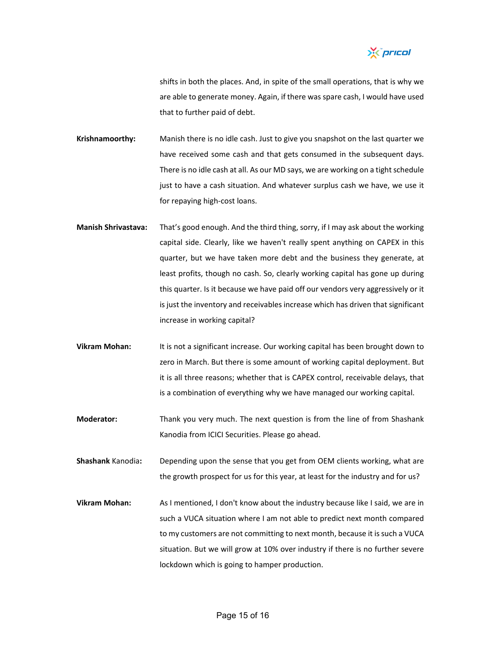

shifts in both the places. And, in spite of the small operations, that is why we are able to generate money. Again, if there was spare cash, I would have used that to further paid of debt.

**Krishnamoorthy:** Manish there is no idle cash. Just to give you snapshot on the last quarter we have received some cash and that gets consumed in the subsequent days. There is no idle cash at all. As our MD says, we are working on a tight schedule just to have a cash situation. And whatever surplus cash we have, we use it for repaying high‐cost loans.

- **Manish Shrivastava:** That's good enough. And the third thing, sorry, if I may ask about the working capital side. Clearly, like we haven't really spent anything on CAPEX in this quarter, but we have taken more debt and the business they generate, at least profits, though no cash. So, clearly working capital has gone up during this quarter. Is it because we have paid off our vendors very aggressively or it is just the inventory and receivables increase which has driven that significant increase in working capital?
- **Vikram Mohan:** It is not a significant increase. Our working capital has been brought down to zero in March. But there is some amount of working capital deployment. But it is all three reasons; whether that is CAPEX control, receivable delays, that is a combination of everything why we have managed our working capital.
- **Moderator:** Thank you very much. The next question is from the line of from Shashank Kanodia from ICICI Securities. Please go ahead.

**Shashank** Kanodia**:** Depending upon the sense that you get from OEM clients working, what are the growth prospect for us for this year, at least for the industry and for us?

**Vikram Mohan:** As I mentioned, I don't know about the industry because like I said, we are in such a VUCA situation where I am not able to predict next month compared to my customers are not committing to next month, because it is such a VUCA situation. But we will grow at 10% over industry if there is no further severe lockdown which is going to hamper production.